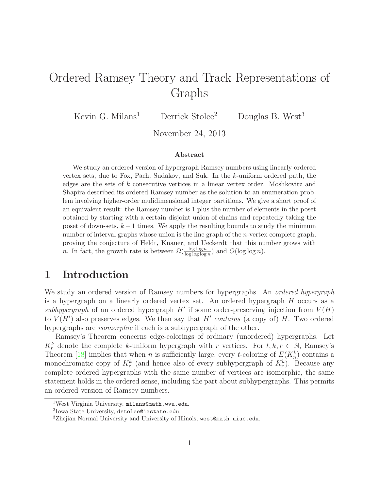# Ordered Ramsey Theory and Track Representations of Graphs

Kevin G. Milans<sup>1</sup> Derrick Stolee<sup>2</sup> Douglas B. West<sup>3</sup>

November 24, 2013

#### Abstract

We study an ordered version of hypergraph Ramsey numbers using linearly ordered vertex sets, due to Fox, Pach, Sudakov, and Suk. In the k-uniform ordered path, the edges are the sets of k consecutive vertices in a linear vertex order. Moshkovitz and Shapira described its ordered Ramsey number as the solution to an enumeration problem involving higher-order mulidimensional integer partitions. We give a short proof of an equivalent result: the Ramsey number is 1 plus the number of elements in the poset obtained by starting with a certain disjoint union of chains and repeatedly taking the poset of down-sets,  $k-1$  times. We apply the resulting bounds to study the minimum number of interval graphs whose union is the line graph of the *n*-vertex complete graph, proving the conjecture of Heldt, Knauer, and Ueckerdt that this number grows with *n*. In fact, the growth rate is between  $\Omega(\frac{\log \log n}{\log \log \log n})$  and  $O(\log \log n)$ .

## 1 Introduction

We study an ordered version of Ramsey numbers for hypergraphs. An *ordered hypergraph* is a hypergraph on a linearly ordered vertex set. An ordered hypergraph  $H$  occurs as a *subhypergraph* of an ordered hypergraph  $H'$  if some order-preserving injection from  $V(H)$ to  $V(H')$  also preserves edges. We then say that  $H'$  *contains* (a copy of)  $H$ . Two ordered hypergraphs are *isomorphic* if each is a subhypergraph of the other.

Ramsey's Theorem concerns edge-colorings of ordinary (unordered) hypergraphs. Let  $K_r^k$  denote the complete k-uniform hypergraph with r vertices. For  $t, k, r \in \mathbb{N}$ , Ramsey's Theorem [\[18\]](#page-8-0) implies that when *n* is sufficiently large, every *t*-coloring of  $E(K_n^k)$  contains a monochromatic copy of  $K_r^k$  (and hence also of every subhypergraph of  $K_r^k$ ). Because any complete ordered hypergraphs with the same number of vertices are isomorphic, the same statement holds in the ordered sense, including the part about subhypergraphs. This permits an ordered version of Ramsey numbers.

<sup>&</sup>lt;sup>1</sup>West Virginia University, milans@math.wvu.edu.

<sup>2</sup> Iowa State University, dstolee@iastate.edu.

<sup>&</sup>lt;sup>3</sup>Zhejian Normal University and University of Illinois, west@math.uiuc.edu.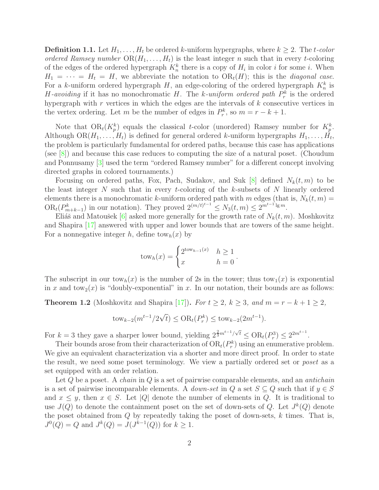**Definition 1.1.** Let  $H_1, \ldots, H_t$  be ordered k-uniform hypergraphs, where  $k \geq 2$ . The t-color *ordered Ramsey number*  $OR(H_1, \ldots, H_t)$  is the least integer n such that in every t-coloring of the edges of the ordered hypergraph  $K_n^k$  there is a copy of  $H_i$  in color i for some i. When  $H_1 = \cdots = H_t = H$ , we abbreviate the notation to  $OR_t(H)$ ; this is the *diagonal case*. For a k-uniform ordered hypergraph  $H$ , an edge-coloring of the ordered hypergraph  $K_n^k$  is *H*-avoiding if it has no monochromatic H. The *k*-uniform ordered path  $P_r^k$  is the ordered hypergraph with  $r$  vertices in which the edges are the intervals of  $k$  consecutive vertices in the vertex ordering. Let m be the number of edges in  $P_r^k$ , so  $m = r - k + 1$ .

Note that  $OR_t(K_p^k)$  equals the classical t-color (unordered) Ramsey number for  $K_p^k$ . Although  $OR(H_1, ..., H_t)$  is defined for general ordered k-uniform hypergraphs  $H_1, ..., H_t$ , the problem is particularly fundamental for ordered paths, because this case has applications (see [\[8\]](#page-8-1)) and because this case reduces to computing the size of a natural poset. (Choudum and Ponnusamy [\[3\]](#page-7-0) used the term "ordered Ramsey number" for a different concept involving directed graphs in colored tournaments.)

Focusing on ordered paths, Fox, Pach, Sudakov, and Suk [\[8\]](#page-8-1) defined  $N_k(t, m)$  to be the least integer  $N$  such that in every t-coloring of the  $k$ -subsets of  $N$  linearly ordered elements there is a monochromatic k-uniform ordered path with m edges (that is,  $N_k(t, m)$ )  $OR_t(P_{m+k-1}^k)$  in our notation). They proved  $2^{(m/t)^{t-1}} \leq N_3(t,m) \leq 2^{m^{t-1}\lg m}$ .

Eliáš and Matoušek  $[6]$  asked more generally for the growth rate of  $N_k(t, m)$ . Moshkovitz and Shapira [\[17\]](#page-8-2) answered with upper and lower bounds that are towers of the same height. For a nonnegative integer h, define tow<sub>h</sub> $(x)$  by

$$
towh(x) = \begin{cases} 2^{tow_{h-1}(x)} & h \ge 1 \\ x & h = 0 \end{cases}.
$$

The subscript in our tow<sub>h</sub> $(x)$  is the number of 2s in the tower; thus tow<sub>1</sub> $(x)$  is exponential in x and  $tow_2(x)$  is "doubly-exponential" in x. In our notation, their bounds are as follows:

<span id="page-1-0"></span>**Theorem 1.2** (Moshkovitz and Shapira [\[17\]](#page-8-2)). *For*  $t \geq 2$ ,  $k \geq 3$ , and  $m = r - k + 1 \geq 2$ ,

$$
tow_{k-2}(m^{t-1}/2\sqrt{t}) \le OR_t(P_r^k) \le tow_{k-2}(2m^{t-1}).
$$

For  $k = 3$  they gave a sharper lower bound, yielding  $2^{\frac{2}{3}m^{t-1}/\sqrt{t}} \le \text{OR}_{t}(P_{r}^{3}) \le 2^{2m^{t-1}}$ .

Their bounds arose from their characterization of  $OR_t(P_r^k)$  using an enumerative problem. We give an equivalent characterization via a shorter and more direct proof. In order to state the result, we need some poset terminology. We view a partially ordered set or *poset* as a set equipped with an order relation.

Let Q be a poset. A *chain* in Q is a set of pairwise comparable elements, and an *antichain* is a set of pairwise incomparable elements. A *down-set* in  $Q$  a set  $S \subseteq Q$  such that if  $y \in S$ and  $x \leq y$ , then  $x \in S$ . Let |Q| denote the number of elements in Q. It is traditional to use  $J(Q)$  to denote the containment poset on the set of down-sets of Q. Let  $J^k(Q)$  denote the poset obtained from  $Q$  by repeatedly taking the poset of down-sets,  $k$  times. That is,  $J^0(Q) = Q$  and  $J^k(Q) = J(J^{k-1}(Q))$  for  $k \ge 1$ .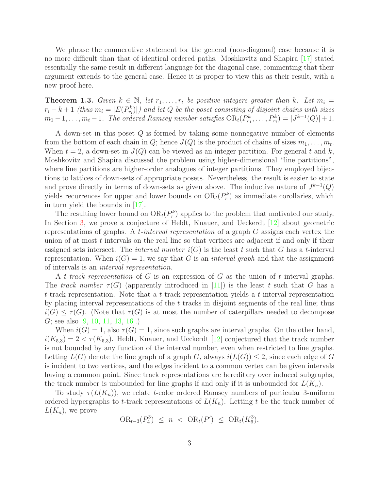We phrase the enumerative statement for the general (non-diagonal) case because it is no more difficult than that of identical ordered paths. Moshkovitz and Shapira [\[17\]](#page-8-2) stated essentially the same result in different language for the diagonal case, commenting that their argument extends to the general case. Hence it is proper to view this as their result, with a new proof here.

<span id="page-2-0"></span>**Theorem 1.3.** *Given*  $k \in \mathbb{N}$ , let  $r_1, \ldots, r_t$  be positive integers greater than k. Let  $m_i =$  $r_i - k + 1$  *(thus*  $m_i = |E(P_{r_i}^k)|$ *)* and let Q be the poset consisting of disjoint chains with sizes  $m_1-1,\ldots,m_t-1$ . The ordered Ramsey number satisfies  $OR_t(P_{r_1}^k,\ldots,P_{r_t}^k) = |J^{k-1}(Q)|+1$ .

A down-set in this poset Q is formed by taking some nonnegative number of elements from the bottom of each chain in Q; hence  $J(Q)$  is the product of chains of sizes  $m_1, \ldots, m_t$ . When  $t = 2$ , a down-set in  $J(Q)$  can be viewed as an integer partition. For general t and k, Moshkovitz and Shapira discussed the problem using higher-dimensional "line partitions", where line partitions are higher-order analogues of integer partitions. They employed bijections to lattices of down-sets of appropriate posets. Nevertheless, the result is easier to state and prove directly in terms of down-sets as given above. The inductive nature of  $J^{k-1}(Q)$ yields recurrences for upper and lower bounds on  $OR_t(P_r^k)$  as immediate corollaries, which in turn yield the bounds in [\[17\]](#page-8-2).

The resulting lower bound on  $OR_t(P_r^k)$  applies to the problem that motivated our study. In Section [3,](#page-6-0) we prove a conjecture of Heldt, Knauer, and Ueckerdt [\[12\]](#page-8-3) about geometric representations of graphs. A t*-interval representation* of a graph G assigns each vertex the union of at most  $t$  intervals on the real line so that vertices are adjacent if and only if their assigned sets intersect. The *interval number*  $i(G)$  is the least t such that G has a t-interval representation. When  $i(G) = 1$ , we say that G is an *interval graph* and that the assignment of intervals is an *interval representation*.

A t*-track representation* of G is an expression of G as the union of t interval graphs. The *track number*  $\tau(G)$  (apparently introduced in [\[11\]](#page-8-4)) is the least t such that G has a t-track representation. Note that a t-track representation yields a t-interval representation by placing interval representations of the t tracks in disjoint segments of the real line; thus  $i(G) \leq \tau(G)$ . (Note that  $\tau(G)$  is at most the number of caterpillars needed to decompose G; see also [\[9,](#page-8-5) [10,](#page-8-6) [11,](#page-8-4) [13,](#page-8-7) [16\]](#page-8-8).)

When  $i(G) = 1$ , also  $\tau(G) = 1$ , since such graphs are interval graphs. On the other hand,  $i(K_{5,3}) = 2 < \tau(K_{5,3})$ . Heldt, Knauer, and Ueckerdt [\[12\]](#page-8-3) conjectured that the track number is not bounded by any function of the interval number, even when restricted to line graphs. Letting  $L(G)$  denote the line graph of a graph G, always  $i(L(G)) \leq 2$ , since each edge of G is incident to two vertices, and the edges incident to a common vertex can be given intervals having a common point. Since track representations are hereditary over induced subgraphs, the track number is unbounded for line graphs if and only if it is unbounded for  $L(K_n)$ .

To study  $\tau(L(K_n))$ , we relate t-color ordered Ramsey numbers of particular 3-uniform ordered hypergraphs to t-track representations of  $L(K_n)$ . Letting t be the track number of  $L(K_n)$ , we prove

$$
OR_{t-3}(P_4^3) \le n \ < \ OR_t(P') \ \le \ OR_t(K_6^3),
$$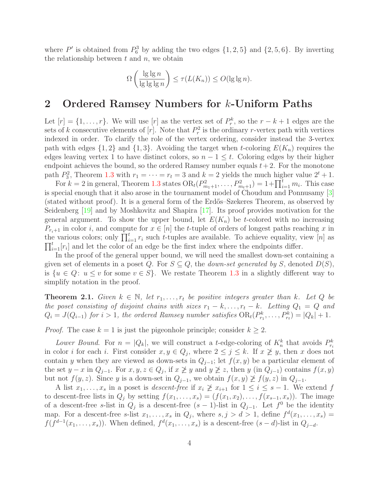where  $P'$  is obtained from  $P_6^3$  by adding the two edges  $\{1, 2, 5\}$  and  $\{2, 5, 6\}$ . By inverting the relationship between  $t$  and  $n$ , we obtain

$$
\Omega\left(\frac{\lg\lg n}{\lg\lg\lg n}\right) \le \tau(L(K_n)) \le O(\lg\lg n).
$$

#### 2 Ordered Ramsey Numbers for k-Uniform Paths

Let  $[r] = \{1, \ldots, r\}$ . We will use  $[r]$  as the vertex set of  $P_r^k$ , so the  $r - k + 1$  edges are the sets of k consecutive elements of  $[r]$ . Note that  $P_r^2$  is the ordinary r-vertex path with vertices indexed in order. To clarify the role of the vertex ordering, consider instead the 3-vertex path with edges  $\{1,2\}$  and  $\{1,3\}$ . Avoiding the target when t-coloring  $E(K_n)$  requires the edges leaving vertex 1 to have distinct colors, so  $n - 1 \leq t$ . Coloring edges by their higher endpoint achieves the bound, so the ordered Ramsey number equals  $t + 2$ . For the monotone path  $P_3^2$ , Theorem [1.3](#page-2-0) with  $r_1 = \cdots = r_t = 3$  and  $k = 2$  yields the much higher value  $2^t + 1$ .

For  $k = 2$  in general, Theorem [1.3](#page-2-0) states  $OR_t(P_{m_1+1}^2, \ldots, P_{m_t+1}^2) = 1 + \prod_{i=1}^t m_i$ . This case is special enough that it also arose in the tournament model of Choudum and Ponnusamy [\[3\]](#page-7-0) (stated without proof). It is a general form of the Erdős–Szekeres Theorem, as observed by Seidenberg [\[19\]](#page-8-9) and by Moshkovitz and Shapira [\[17\]](#page-8-2). Its proof provides motivation for the general argument. To show the upper bound, let  $E(K_n)$  be t-colored with no increasing  $P_{r_i+1}$  in color i, and compute for  $x \in [n]$  the t-tuple of orders of longest paths reaching x in the various colors; only  $\prod_{i=1}^{t} r_i$  such t-tuples are available. To achieve equality, view [n] as  $\prod_{i=1}^{t}[r_i]$  and let the color of an edge be the first index where the endpoints differ.

In the proof of the general upper bound, we will need the smallest down-set containing a given set of elements in a poset Q. For  $S \subseteq Q$ , the *down-set generated by* S, denoted  $D(S)$ , is  $\{u \in Q: u \le v \text{ for some } v \in S\}$ . We restate Theorem [1.3](#page-2-0) in a slightly different way to simplify notation in the proof.

<span id="page-3-0"></span>**Theorem 2.1.** *Given*  $k \in \mathbb{N}$ , *let*  $r_1, \ldots, r_t$  *be positive integers greater than*  $k$ *. Let*  $Q$  *be the poset consisting of disjoint chains with sizes*  $r_1 - k, \ldots, r_t - k$ *. Letting*  $Q_1 = Q$  *and*  $Q_i = J(Q_{i-1})$  for  $i > 1$ , the ordered Ramsey number satisfies  $OR_t(P_{r_1}^k, \ldots, P_{r_t}^k) = |Q_k| + 1$ .

*Proof.* The case  $k = 1$  is just the pigeonhole principle; consider  $k \geq 2$ .

Lower Bound. For  $n = |Q_k|$ , we will construct a t-edge-coloring of  $K_n^k$  that avoids  $P_{r_i}^k$ in color *i* for each *i*. First consider  $x, y \in Q_j$ , where  $2 \leq j \leq k$ . If  $x \not\geq y$ , then *x* does not contain y when they are viewed as down-sets in  $Q_{j-1}$ ; let  $f(x, y)$  be a particular element of the set  $y - x$  in  $Q_{j-1}$ . For  $x, y, z \in Q_j$ , if  $x \not\geq y$  and  $y \not\geq z$ , then  $y$  (in  $Q_{j-1}$ ) contains  $f(x, y)$ but not  $f(y, z)$ . Since y is a down-set in  $Q_{j-1}$ , we obtain  $f(x, y) \not\geq f(y, z)$  in  $Q_{j-1}$ .

A list  $x_1, \ldots, x_s$  in a poset is *descent-free* if  $x_i \not\geq x_{i+1}$  for  $1 \leq i \leq s-1$ . We extend f to descent-free lists in  $Q_j$  by setting  $f(x_1, \ldots, x_s) = (f(x_1, x_2), \ldots, f(x_{s-1}, x_s))$ . The image of a descent-free s-list in  $Q_j$  is a descent-free  $(s-1)$ -list in  $Q_{j-1}$ . Let  $f^0$  be the identity map. For a descent-free s-list  $x_1, \ldots, x_s$  in  $Q_j$ , where  $s, j > d > 1$ , define  $f^d(x_1, \ldots, x_s) =$  $f(f^{d-1}(x_1,\ldots,x_s))$ . When defined,  $f^d(x_1,\ldots,x_s)$  is a descent-free  $(s-d)$ -list in  $Q_{j-d}$ .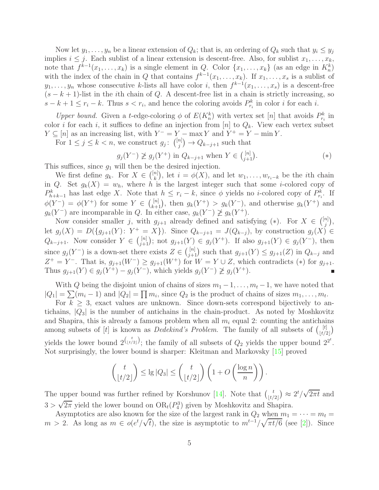Now let  $y_1, \ldots, y_n$  be a linear extension of  $Q_k$ ; that is, an ordering of  $Q_k$  such that  $y_i \le y_j$ implies  $i \leq j$ . Each sublist of a linear extension is descent-free. Also, for sublist  $x_1, \ldots, x_k$ , note that  $f^{k-1}(x_1,\ldots,x_k)$  is a single element in Q. Color  $\{x_1,\ldots,x_k\}$  (as an edge in  $K_n^k$ ) with the index of the chain in Q that contains  $f^{k-1}(x_1,\ldots,x_k)$ . If  $x_1,\ldots,x_s$  is a sublist of  $y_1, \ldots, y_n$  whose consecutive k-lists all have color i, then  $f^{k-1}(x_1, \ldots, x_s)$  is a descent-free  $(s - k + 1)$ -list in the *i*th chain of Q. A descent-free list in a chain is strictly increasing, so  $s - k + 1 \leq r_i - k$ . Thus  $s < r_i$ , and hence the coloring avoids  $P_{r_i}^k$  in color i for each i.

*Upper bound.* Given a *t*-edge-coloring  $\phi$  of  $E(K_n^k)$  with vertex set [n] that avoids  $P_{r_i}^k$  in color *i* for each *i*, it suffices to define an injection from [n] to  $Q_k$ . View each vertex subset  $Y \subseteq [n]$  as an increasing list, with  $Y^- = Y - \max Y$  and  $Y^+ = Y - \min Y$ .

For  $1 \leq j \leq k < n$ , we construct  $g_j$ :  $\binom{[n]}{j}$  $j^{(n)}$   $\rightarrow$   $Q_{k-j+1}$  such that

$$
g_j(Y^-) \not\ge g_j(Y^+) \text{ in } Q_{k-j+1} \text{ when } Y \in \binom{[n]}{j+1}. \tag{*}
$$

This suffices, since  $g_1$  will then be the desired injection.

We first define  $g_k$ . For  $X \in \binom{[n]}{k}$  $\binom{n}{k}$ , let  $i = \phi(X)$ , and let  $w_1, \ldots, w_{r_i-k}$  be the *i*th chain in Q. Set  $g_k(X) = w_h$ , where h is the largest integer such that some *i*-colored copy of  $P_{h+k-1}^k$  has last edge X. Note that  $h \leq r_i - k$ , since  $\phi$  yields no *i*-colored copy of  $P_{r_i}^k$ . If  $\phi(Y^-) = \phi(Y^+)$  for some  $Y \in \binom{[n]}{k+1}$ , then  $g_k(Y^+) > g_k(Y^-)$ , and otherwise  $g_k(Y^+)$  and  $g_k(Y^-)$  are incomparable in Q. In either case,  $g_k(Y^-) \not\geq g_k(Y^+)$ .

Now consider smaller j, with  $g_{j+1}$  already defined and satisfying  $(*)$ . For  $X \in \binom{[n]}{j}$  $_{j}^{n] \Big),$ let  $g_j(X) = D(\{g_{j+1}(Y): Y^+ = X\})$ . Since  $Q_{k-j+1} = J(Q_{k-j})$ , by construction  $g_j(X) \in$  $Q_{k-j+1}$ . Now consider  $Y \in \binom{[n]}{j+1}$ ; not  $g_{j+1}(Y) \in g_j(Y^+)$ . If also  $g_{j+1}(Y) \in g_j(Y^-)$ , then since  $g_j(Y^-)$  is a down-set there exists  $Z \in \binom{[n]}{j+1}$  such that  $g_{j+1}(Y) \leq g_{j+1}(Z)$  in  $Q_{k-j}$  and  $Z^+ = Y^-$ . That is,  $g_{j+1}(W^-) \ge g_{j+1}(W^+)$  for  $W = Y \cup Z$ , which contradicts (\*) for  $g_{j+1}$ . Thus  $g_{j+1}(Y) \in g_j(Y^+) - g_j(Y^-)$ , which yields  $g_j(Y^-) \not\ge g_j(Y^+)$ .

With Q being the disjoint union of chains of sizes  $m_1 - 1, \ldots, m_t - 1$ , we have noted that  $|Q_1| = \sum (m_i - 1)$  and  $|Q_2| = \prod m_i$ , since  $Q_2$  is the product of chains of sizes  $m_1, \ldots, m_t$ .

For  $k \geq 3$ , exact values are unknown. Since down-sets correspond bijectively to antichains,  $|Q_3|$  is the number of antichains in the chain-product. As noted by Moshkovitz and Shapira, this is already a famous problem when all  $m<sub>i</sub>$  equal 2: counting the antichains among subsets of [t] is known as *Dedekind's Problem*. The family of all subsets of  $\begin{bmatrix} t \\ t \end{bmatrix}$  $\begin{pmatrix} t \\ t/2 \end{pmatrix}$ yields the lower bound  $2^{\binom{t}{\lfloor t/2 \rfloor}}$ ; the family of all subsets of  $Q_2$  yields the upper bound  $2^{2^t}$ . Not surprisingly, the lower bound is sharper: Kleitman and Markovsky [\[15\]](#page-8-10) proved

$$
\binom{t}{\lfloor t/2 \rfloor} \leq \lg |Q_3| \leq \binom{t}{\lfloor t/2 \rfloor} \left(1 + O\left(\frac{\log n}{n}\right)\right).
$$

The upper bound was further refined by Korshunov [\[14\]](#page-8-11). Note that  $\begin{pmatrix} t \\ t \end{pmatrix}$  $(t/2)$   $\approx$   $2t/\sqrt{2\pi t}$  and  $3 > \sqrt{2\pi}$  yield the lower bound on  $OR_t(P_4^3)$  given by Moshkovitz and Shapira.

Asymptotics are also known for the size of the largest rank in  $Q_2$  when  $m_1 = \cdots = m_t =$  $m > 2$ . As long as  $m \in o(e^t/\sqrt{t})$ , the size is asymptotic to  $m^{t-1}/\sqrt{\pi t/6}$  (see [\[2\]](#page-7-2)). Since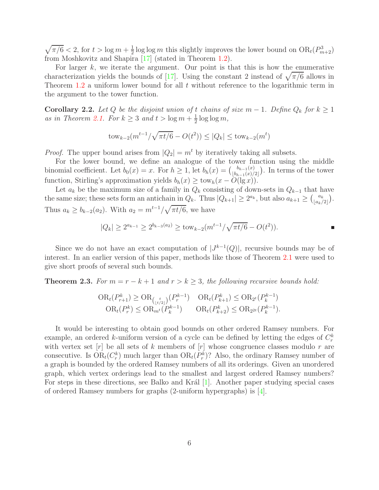$\sqrt{\pi/6}$  < 2, for  $t > \log m + \frac{1}{2}$  $\frac{1}{2}$ log log *m* this slightly improves the lower bound on  $OR_t(P^3_{m+2})$ from Moshkovitz and Shapira [\[17\]](#page-8-2) (stated in Theorem [1.2\)](#page-1-0).

For larger  $k$ , we iterate the argument. Our point is that this is how the enumerative characterization yields the bounds of [\[17\]](#page-8-2). Using the constant 2 instead of  $\sqrt{\pi/6}$  allows in Theorem [1.2](#page-1-0) a uniform lower bound for all  $t$  without reference to the logarithmic term in the argument to the tower function.

**Corollary 2.2.** Let Q be the disjoint union of t chains of size  $m-1$ . Define  $Q_k$  for  $k \geq 1$ as in Theorem [2.1.](#page-3-0) For  $k \geq 3$  and  $t > \log m + \frac{1}{2}$  $\frac{1}{2} \log \log m$ ,

$$
tow_{k-2}(m^{t-1}/\sqrt{\pi t/6} - O(t^2)) \le |Q_k| \le tow_{k-2}(m^t)
$$

*Proof.* The upper bound arises from  $|Q_2| = m^t$  by iteratively taking all subsets.

For the lower bound, we define an analogue of the tower function using the middle binomial coefficient. Let  $b_0(x) = x$ . For  $h \geq 1$ , let  $b_h(x) = \binom{b_{h-1}(x)}{\lfloor b_{h-1}(x) \rfloor}$  $\binom{b_{h-1}(x)}{b_{h-1}(x)/2}$ . In terms of the tower function, Stirling's approximation yields  $b_h(x) \geq \text{tow}_h(x - \tilde{O}(\lg x)).$ 

Let  $a_k$  be the maximum size of a family in  $Q_k$  consisting of down-sets in  $Q_{k-1}$  that have the same size; these sets form an antichain in  $Q_k$ . Thus  $|Q_{k+1}| \geq 2^{a_k}$ , but also  $a_{k+1} \geq {a_k \choose \lfloor a_k \rfloor}$  $\begin{bmatrix} a_k \\ a_k/2 \end{bmatrix}$ . Thus  $a_k \ge b_{k-2}(a_2)$ . With  $a_2 = m^{t-1}/\sqrt{\pi t/6}$ , we have

$$
|Q_k| \ge 2^{a_{k-1}} \ge 2^{b_{k-3}(a_2)} \ge \text{tow}_{k-2}(m^{t-1}/\sqrt{\pi t/6} - O(t^2)).
$$

Since we do not have an exact computation of  $|J^{k-1}(Q)|$ , recursive bounds may be of interest. In an earlier version of this paper, methods like those of Theorem [2.1](#page-3-0) were used to give short proofs of several such bounds.

**Theorem 2.3.** *For*  $m = r - k + 1$  *and*  $r > k \geq 3$ *, the following recursive bounds hold:* 

$$
\text{OR}_{t}(P_{r+1}^{k}) \geq \text{OR}_{\binom{t}{\lfloor t/2 \rfloor}}(P_{r}^{k-1}) \quad \text{OR}_{t}(P_{k+1}^{k}) \leq \text{OR}_{2^{t}}(P_{k}^{k-1})
$$
\n
$$
\text{OR}_{t}(P_{r}^{k}) \leq \text{OR}_{m^{t}}(P_{k}^{k-1}) \quad \text{OR}_{t}(P_{k+2}^{k}) \leq \text{OR}_{2^{2t}}(P_{k}^{k-1}).
$$

It would be interesting to obtain good bounds on other ordered Ramsey numbers. For example, an ordered k-uniform version of a cycle can be defined by letting the edges of  $C_r^k$ with vertex set  $[r]$  be all sets of k members of  $[r]$  whose congruence classes modulo r are consecutive. Is  $OR_t(C_r^k)$  much larger than  $OR_t(P_r^k)$ ? Also, the ordinary Ramsey number of a graph is bounded by the ordered Ramsey numbers of all its orderings. Given an unordered graph, which vertex orderings lead to the smallest and largest ordered Ramsey numbers? For steps in these directions, see Balko and Král  $[1]$ . Another paper studying special cases of ordered Ramsey numbers for graphs (2-uniform hypergraphs) is [\[4\]](#page-7-4).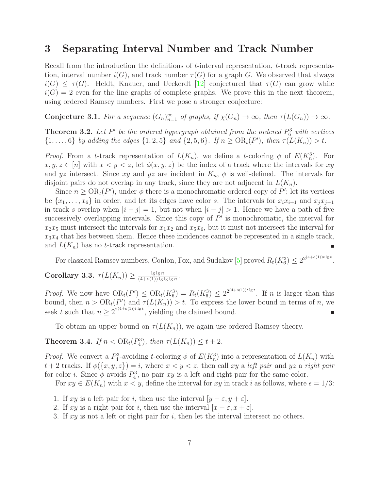#### <span id="page-6-0"></span>3 Separating Interval Number and Track Number

Recall from the introduction the definitions of t-interval representation, t-track representation, interval number  $i(G)$ , and track number  $\tau(G)$  for a graph G. We observed that always  $i(G) \leq \tau(G)$ . Heldt, Knauer, and Ueckerdt [\[12\]](#page-8-3) conjectured that  $\tau(G)$  can grow while  $i(G) = 2$  even for the line graphs of complete graphs. We prove this in the next theorem, using ordered Ramsey numbers. First we pose a stronger conjecture:

**Conjecture 3.1.** For a sequence  $(G_n)_{n=1}^{\infty}$  of graphs, if  $\chi(G_n) \to \infty$ , then  $\tau(L(G_n)) \to \infty$ .

**Theorem 3.2.** Let  $P'$  be the ordered hypergraph obtained from the ordered  $P_6^3$  with vertices  $\{1, \ldots, 6\}$  *by adding the edges*  $\{1, 2, 5\}$  *and*  $\{2, 5, 6\}$ *. If*  $n \geq OR_t(P')$ *, then*  $\tau(L(K_n)) > t$ *.* 

*Proof.* From a t-track representation of  $L(K_n)$ , we define a t-coloring  $\phi$  of  $E(K_n^3)$ . For  $x, y, z \in [n]$  with  $x < y < z$ , let  $\phi(x, y, z)$  be the index of a track where the intervals for xy and yz intersect. Since xy and yz are incident in  $K_n$ ,  $\phi$  is well-defined. The intervals for disjoint pairs do not overlap in any track, since they are not adjacent in  $L(K_n)$ .

Since  $n \geq \text{OR}_{t}(P')$ , under  $\phi$  there is a monochromatic ordered copy of P'; let its vertices be  $\{x_1, \ldots, x_6\}$  in order, and let its edges have color s. The intervals for  $x_i x_{i+1}$  and  $x_j x_{j+1}$ in track s overlap when  $|i - j| = 1$ , but not when  $|i - j| > 1$ . Hence we have a path of five successively overlapping intervals. Since this copy of  $P'$  is monochromatic, the interval for  $x_2x_5$  must intersect the intervals for  $x_1x_2$  and  $x_5x_6$ , but it must not intersect the interval for  $x_3x_4$  that lies between them. Hence these incidences cannot be represented in a single track, and  $L(K_n)$  has no t-track representation. п

For classical Ramsey numbers, Conlon, Fox, and Sudakov [\[5\]](#page-7-5) proved  $R_t(K_6^3) \leq 2^{2^{(4+o(1))t \lg t}}$ .

<span id="page-6-1"></span>Corollary 3.3.  $\tau(L(K_n)) \geq \frac{\lg \lg n}{(4+o(1)) \lg n}$  $\frac{\lg\lg n}{(4+o(1))\lg\lg\lg n}.$ 

*Proof.* We now have  $OR_t(P') \leq OR_t(K_6^3) = R_t(K_6^3) \leq 2^{2^{(4+o(1))t \lg t}}$ . If n is larger than this bound, then  $n > \mathrm{OR}_t(P')$  and  $\tau(L(K_n)) > t$ . To express the lower bound in terms of n, we seek t such that  $n \geq 2^{2^{(4+o(1))t\lg t}}$ , yielding the claimed bound. п

To obtain an upper bound on  $\tau(L(K_n))$ , we again use ordered Ramsey theory.

**Theorem 3.4.** *If*  $n < \text{OR}_{t}(P_{4}^{3})$ , *then*  $\tau(L(K_{n})) \leq t + 2$ *.* 

*Proof.* We convert a  $P_4^3$ -avoiding t-coloring  $\phi$  of  $E(K_n^3)$  into a representation of  $L(K_n)$  with  $t + 2$  tracks. If  $\phi({x, y, z}) = i$ , where  $x < y < z$ , then call xy a *left pair* and yz a *right pair* for color *i*. Since  $\phi$  avoids  $P_4^3$ , no pair xy is a left and right pair for the same color.

For  $xy \in E(K_n)$  with  $x < y$ , define the interval for  $xy$  in track i as follows, where  $\epsilon = 1/3$ :

- 1. If xy is a left pair for i, then use the interval  $[y \varepsilon, y + \varepsilon]$ .
- 2. If xy is a right pair for i, then use the interval  $[x \varepsilon, x + \varepsilon]$ .
- 3. If  $xy$  is not a left or right pair for i, then let the interval intersect no others.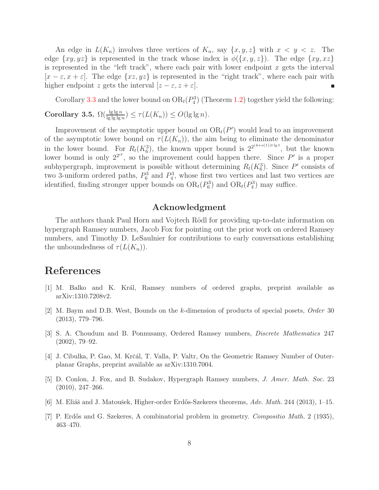An edge in  $L(K_n)$  involves three vertices of  $K_n$ , say  $\{x, y, z\}$  with  $x < y < z$ . The edge  $\{xy, yz\}$  is represented in the track whose index is  $\phi(\{x, y, z\})$ . The edge  $\{xy, xz\}$ is represented in the "left track", where each pair with lower endpoint  $x$  gets the interval  $[x - \varepsilon, x + \varepsilon]$ . The edge  $\{xz, yz\}$  is represented in the "right track", where each pair with higher endpoint z gets the interval  $[z - \varepsilon, z + \varepsilon]$ .

Corollary [3.3](#page-6-1) and the lower bound on  $OR_t(P_4^3)$  (Theorem [1.2\)](#page-1-0) together yield the following: Corollary 3.5.  $\Omega(\frac{\lg \lg n}{\lg \lg \lg n}) \leq \tau(L(K_n)) \leq O(\lg \lg n)$ *.* 

Improvement of the asymptotic upper bound on  $OR_t(P')$  would lead to an improvement of the asymptotic lower bound on  $\tau(L(K_n))$ , the aim being to eliminate the denominator in the lower bound. For  $R_t(K_6^3)$ , the known upper bound is  $2^{2^{(4+o(1))t\lg t}}$ , but the known lower bound is only  $2^{2ct}$ , so the improvement could happen there. Since P' is a proper subhypergraph, improvement is possible without determining  $R_t(K_6^3)$ . Since P' consists of two 3-uniform ordered paths,  $P_6^3$  and  $P_4^3$ , whose first two vertices and last two vertices are identified, finding stronger upper bounds on  $OR_t(P_6^3)$  and  $OR_t(P_4^3)$  may suffice.

#### Acknowledgment

The authors thank Paul Horn and Vojtech Rödl for providing up-to-date information on hypergraph Ramsey numbers, Jacob Fox for pointing out the prior work on ordered Ramsey numbers, and Timothy D. LeSaulnier for contributions to early conversations establishing the unboundedness of  $\tau(L(K_n))$ .

### <span id="page-7-3"></span>References

- <span id="page-7-2"></span>[1] M. Balko and K. Kr´al, Ramsey numbers of ordered graphs, preprint available as arXiv:1310.7208v2.
- [2] M. Baym and D.B. West, Bounds on the k-dimension of products of special posets, Order 30 (2013), 779–796.
- <span id="page-7-0"></span>[3] S. A. Choudum and B. Ponnusamy, Ordered Ramsey numbers, Discrete Mathematics 247 (2002), 79–92.
- <span id="page-7-5"></span><span id="page-7-4"></span>[4] J. Cibulka, P. Gao, M. Krčál, T. Valla, P. Valtr, On the Geometric Ramsey Number of Outerplanar Graphs, preprint available as arXiv:1310.7004.
- [5] D. Conlon, J. Fox, and B. Sudakov, Hypergraph Ramsey numbers, J. Amer. Math. Soc. 23 (2010), 247–266.
- <span id="page-7-1"></span>[6] M. Eliáš and J. Matoušek, Higher-order Erdős-Szekeres theorems,  $Adv. Math. 244$  (2013), 1–15.
- [7] P. Erdős and G. Szekeres, A combinatorial problem in geometry. Compositio Math. 2 (1935), 463–470.